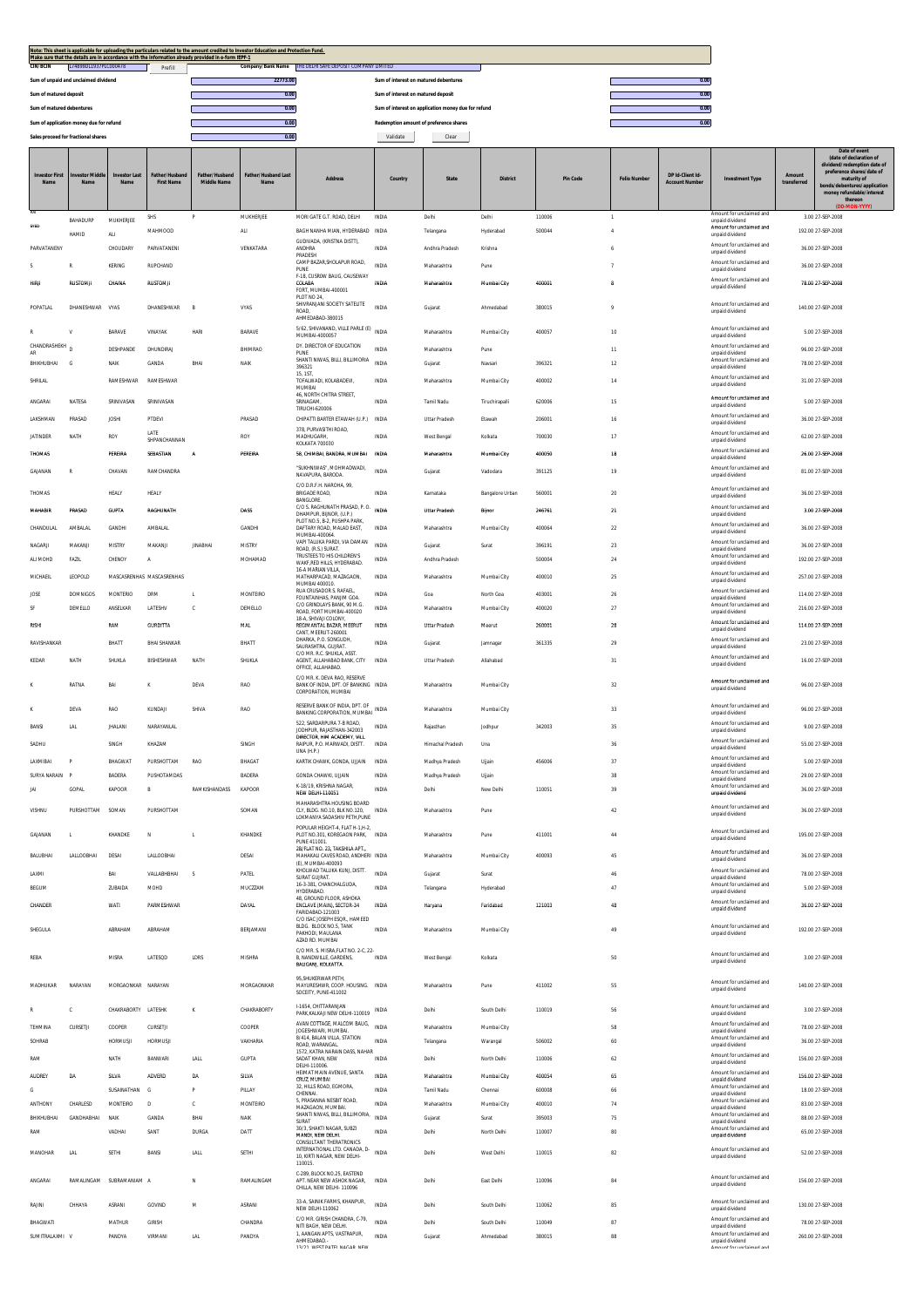| Note: This sheet is applicable for uploading the particulars related to the amount credited to Investor Education and Protection Fund.<br>Make sure that the details are in accordance with the information already provided in e-form IEPF-1<br>Company/Bank Name THE DELHI SAFE DEPOSIT COMPANY LIMITED |                       |                              |                                   |                                      |                                    |                                                                                               |                                       |                               |                      |                  |          |                    |                                          |                                                                         |                       |                                                                                                                     |
|-----------------------------------------------------------------------------------------------------------------------------------------------------------------------------------------------------------------------------------------------------------------------------------------------------------|-----------------------|------------------------------|-----------------------------------|--------------------------------------|------------------------------------|-----------------------------------------------------------------------------------------------|---------------------------------------|-------------------------------|----------------------|------------------|----------|--------------------|------------------------------------------|-------------------------------------------------------------------------|-----------------------|---------------------------------------------------------------------------------------------------------------------|
| <b>CIN/BCIN</b>                                                                                                                                                                                                                                                                                           | L74899DL1937PLC000478 |                              | Prefill                           |                                      | 22773.00                           |                                                                                               | Sum of interest on matured debentures |                               |                      |                  |          |                    | 0.00                                     |                                                                         |                       |                                                                                                                     |
| Sum of unpaid and unclaimed dividend<br>Sum of matured deposit                                                                                                                                                                                                                                            |                       |                              |                                   | 0.00                                 |                                    |                                                                                               | Sum of interest on matured deposit    |                               |                      |                  |          | 0.00               |                                          |                                                                         |                       |                                                                                                                     |
| Sum of matured debentures                                                                                                                                                                                                                                                                                 |                       |                              |                                   |                                      |                                    |                                                                                               |                                       |                               |                      |                  |          | 0.00               |                                          |                                                                         |                       |                                                                                                                     |
| Sum of application money due for refund                                                                                                                                                                                                                                                                   |                       |                              | 0.00<br>0.00                      |                                      |                                    | Sum of interest on application money due for refund<br>Redemption amount of preference shares |                                       |                               |                      | 0.00             |          |                    |                                          |                                                                         |                       |                                                                                                                     |
| Sales proceed for fractional shares                                                                                                                                                                                                                                                                       |                       |                              |                                   | 0.00                                 |                                    | Validate                                                                                      | Clear                                 |                               |                      |                  |          |                    |                                          |                                                                         |                       |                                                                                                                     |
| <b>Investor First</b><br>Name                                                                                                                                                                                                                                                                             | stor Mid<br>Name      | <b>Investor Last</b><br>Name | ather/Husban<br><b>First Name</b> | Father/Husband<br><b>Middle Name</b> | <b>Father/Husband Last</b><br>Name | <b>Address</b>                                                                                | Country                               | State                         | <b>District</b>      |                  | Pin Code | <b>Folio Numbe</b> | DP Id-Client Id<br><b>Account Number</b> | <b>Investment Type</b>                                                  | Amount<br>transferred | Date of event<br>(date of declaration of<br>dividend/redemption date of<br>preference shares/date of<br>maturity of |
|                                                                                                                                                                                                                                                                                                           |                       |                              |                                   |                                      |                                    |                                                                                               |                                       |                               |                      |                  |          |                    |                                          |                                                                         |                       | bonds/debentures/application<br>money refundable/interest<br>thereon                                                |
| SYED                                                                                                                                                                                                                                                                                                      | BAHADURP              | MUKHERJEE                    | SHS                               | P                                    | MUKHERJEE                          | MORI GATE G.T. ROAD, DELHI                                                                    | <b>INDIA</b>                          | Delhi                         | Delhi                | 110006           |          | $\mathbf{1}$       |                                          | Amount for unclaimed and<br>unpaid dividend<br>Amount for unclaimed and |                       | 3.00 27-SEP-2008                                                                                                    |
|                                                                                                                                                                                                                                                                                                           | HAMID                 | ALI                          | MAHMOOD                           |                                      | ALI                                | BAGH NANHA MIAN, HYDERABAD INDIA<br>GUDIVADA, (KRISTNA DISTT),                                |                                       | Telangana                     | Hyderabad            | 500044           |          | $\ddot{4}$         |                                          | unpaid dividend<br>Amount for unclaimed and                             |                       | 192.00 27-SEP-2008                                                                                                  |
| PARVATANENY                                                                                                                                                                                                                                                                                               | R                     | CHOUDARY<br>KERING           | PARVATANENI<br>RUPCHAND           |                                      | VENKATARA                          | ANDHRA<br>PRADESH<br>CAMP BAZAR, SHOLAPUR ROAD,                                               | INDIA<br><b>INDIA</b>                 | Andhra Pradesh<br>Maharashtra | Krishna<br>Pune      |                  |          |                    |                                          | unpaid dividend<br>Amount for unclaimed and                             |                       | 36.00 27-SEP-2008<br>36.00 27-SEP-2008                                                                              |
| <b>HIRII</b>                                                                                                                                                                                                                                                                                              | RUSTOMIL              | CHAINA                       | <b>RUSTOM</b>                     |                                      |                                    | PLINE<br>F-18, CUSROW BAUG, CAUSEWAY<br>COLABA<br>FORT. MUMBAI-400001                         | <b>INDIA</b>                          | Maharashtra                   | Mumbai City          | 400001           |          |                    |                                          | unpaid dividend<br>Amount for unclaimed and<br>unpaid dividend          |                       | 78.00 27-SEP-2008                                                                                                   |
| POPATLAL                                                                                                                                                                                                                                                                                                  | DHANESHWAR            | VYAS                         | DHANESHWAR                        | B                                    | VYAS                               | PLOT NO 24.<br>SHIVRANJANI SOCIETY SATELITE<br>ROAD                                           | <b>INDIA</b>                          | Gujarat                       | Ahmedabad            | 380015           |          |                    |                                          | Amount for unclaimed and<br>unpaid dividend                             |                       | 140.00 27-SEP-2008                                                                                                  |
|                                                                                                                                                                                                                                                                                                           | V                     | <b>RARAVE</b>                | VINAYAK                           | HARI                                 | BARAVE                             | AHMEDABAD-380015<br>5/62, SHIVANAND, VILLE PARLE (E) INDIA                                    |                                       | Maharashtra                   | Mumbai City          | 400057           |          | 10                 |                                          | Amount for unclaimed and                                                |                       | 5.00 27-SEP-2008                                                                                                    |
| CHANDRASHEKH <sub>D</sub>                                                                                                                                                                                                                                                                                 |                       |                              |                                   |                                      |                                    | MUMBAI-4000057<br>DY. DIRECTOR OF EDUCATION                                                   |                                       |                               |                      |                  |          |                    |                                          | unpaid dividend<br>Amount for unclaimed and                             |                       |                                                                                                                     |
| AR                                                                                                                                                                                                                                                                                                        |                       | DESHPANDE                    | DHUNDIRAJ                         |                                      | BHIMRAO                            | PLINE<br>SHANTI NIWAS, BILLI, BILLIMORIA                                                      | <b>INDIA</b>                          | Maharashtra                   | Pune                 |                  |          | $11\,$             |                                          | unpaid dividend<br>Amount for unclaimed and                             |                       | 96.00 27-SEP-2008                                                                                                   |
| BHIKHUBHAI                                                                                                                                                                                                                                                                                                | G                     | NAIK                         | GANDA                             | BHAI                                 | NAIK                               | 396321<br>15, 1ST                                                                             | <b>INDIA</b>                          | Gujarat                       | Navsari              | 396321           |          | $12\,$             |                                          | unpaid dividend                                                         |                       | 78.00 27-SEP-2008                                                                                                   |
| SHRILAL                                                                                                                                                                                                                                                                                                   |                       | RAMESHWAR                    | RAMESHWAR                         |                                      |                                    | TOFALWADI. KOLABADEVI.<br>MUMRAI                                                              | INDIA                                 | Maharashtra                   | Mumbai City          | 400002           |          | 14                 |                                          | Amount for unclaimed and<br>unpaid dividend                             |                       | 31.00 27-SEP-2008                                                                                                   |
| ANGARAI                                                                                                                                                                                                                                                                                                   | NATESA                | SRINIVASAN                   | SRINIVASAN                        |                                      |                                    | 46, NORTH CHITRA STREET,<br>SRINAGAM.<br><b>TIRUCHI-620006</b>                                | INDIA                                 | Tamil Nadu                    | Tiruchirapalli       | 620006           |          | 15                 |                                          | Amount for unclaimed and<br>unpaid dividend                             |                       | 5.00 27-SEP-2008                                                                                                    |
| LAKSHMAN                                                                                                                                                                                                                                                                                                  | PRASAD                | <b>JOSHI</b>                 | PTDEVI                            |                                      | PRASAD                             | CHIPATTI BARTER ETAWAH (U.P.)<br>378 PURVASITHLROAD                                           | INDIA                                 | Uttar Pradesh                 | Etawah               | 206001           |          | 16                 |                                          | Amount for unclaimed and<br>unpaid dividend                             |                       | 36.00 27-SEP-2008                                                                                                   |
| JATINDER                                                                                                                                                                                                                                                                                                  | NATH                  | ROY                          | LATE<br>SHPANCHANNAN              |                                      | ROY                                | MADHUGARH<br><b>KOLKATA 700030</b>                                                            | INDIA                                 | West Bengal                   | Kolkata              | 700030           |          | 17                 |                                          | Amount for unclaimed and<br>unpaid dividend                             |                       | 62.00 27-SEP-2008                                                                                                   |
| THOMAS                                                                                                                                                                                                                                                                                                    |                       | PEREIRA                      | SEBASTIAN                         | $\mathsf{A}$                         | PEREIRA                            | 58, CHIMBAI, BANDRA, MUMBAI                                                                   | <b>INDIA</b>                          | Maharashtra                   | Mumbal City          | 400050           |          | 18                 |                                          | Amount for unclaimed and<br>unpaid dividend                             |                       | 26.00 27-SEP-2008                                                                                                   |
| GAJANAN                                                                                                                                                                                                                                                                                                   | R                     | CHAVAN                       | PAMCHANDRA                        |                                      |                                    | "SUKHNIWAS", MOHMADWADI,<br>NAVAPURA, BARODA.                                                 | INDIA                                 | Gujarat                       | Vadodara             | 391125           |          | 19                 |                                          | Amount for unclaimed and<br>unpaid dividend                             |                       | 81.00 27-SEP-2008                                                                                                   |
| THOMAS                                                                                                                                                                                                                                                                                                    |                       | HEALY                        | HEALY                             |                                      |                                    | C/O D.R.F.H. NAROHA, 99,<br><b>BRIGADE ROAD,</b><br>BANGLORE.                                 | INDIA                                 | Karnataka                     | Bangalore Urban      | 560001           |          | 20                 |                                          | Amount for unclaimed and<br>unpaid dividend                             |                       | 36.00 27-SEP-2008                                                                                                   |
| MAHABIR                                                                                                                                                                                                                                                                                                   | PRASAD                | GUPTA                        | RAGHUNATH                         |                                      | DASS                               | C/O S. RAGHUNATH PRASAD, P.O. <sub>INDIA</sub><br>DHAMPUR, BUNOR, (U.P.)                      |                                       | Uttar Pradesh                 | Bijno                | 246761           |          | $21\,$             |                                          | Amount for unclaimed and<br>unpaid dividend                             |                       | 3.00 27-SEP-2008                                                                                                    |
| CHANDULAL                                                                                                                                                                                                                                                                                                 | AMBALAL               | GANDHI                       | <b>AMBALAL</b>                    |                                      | GANDHI                             | PLOT NO.5, B-2, PUSHPA PARK<br>DAFTARY ROAD, MALAD EAST,<br>MUMBAI-400064.                    | INDIA                                 | Maharashtra                   | Mumbai City          | 400064           |          | $22\,$             |                                          | Amount for unclaimed and<br>unpaid dividend                             |                       | 36.00 27-SEP-2008                                                                                                   |
| NAGARJI                                                                                                                                                                                                                                                                                                   | MAKANJI               | MISTRY                       | MAKANJI                           | <b>JINABHA</b>                       | MISTRY                             | VAPI TALUKA PARDI, VIA DAMAN<br>ROAD, (R.S.) SURAT.                                           | INDIA                                 | Gujarat                       | Surat                | 396191           |          | 23                 |                                          | Amount for unclaimed and<br>unpaid dividend                             |                       | 36.00 27-SEP-2008                                                                                                   |
| ALI MOHD                                                                                                                                                                                                                                                                                                  | FAZIL                 | CHENOY                       | $\mathsf{A}$                      |                                      | MOHAMAD                            | TRUSTEES TO HIS CHILDREN'S<br>WAKE, RED HILLS, HYDERABAD.                                     | <b>INDIA</b>                          | Andhra Pradesh                |                      | 500004           |          | 24                 |                                          | Amount for unclaimed and<br>unpaid dividend                             |                       | 192.00 27-SEP-2008                                                                                                  |
| MICHAEIL                                                                                                                                                                                                                                                                                                  | LEOPOLD               |                              | MASCASRENHAS MASCASRENHAS         |                                      |                                    | 16-A MARIAN VILLA,<br>MATHARPACAD, MAZAGAON,                                                  | INDIA                                 | Maharashtra                   | Mumbai City          | 400010           |          | 25                 |                                          | Amount for unclaimed and<br>unpaid dividend                             |                       | 257.00 27-SEP-2008                                                                                                  |
| JOSE                                                                                                                                                                                                                                                                                                      | <b>DOMNIGOS</b>       | MONTERIO                     | <b>DRM</b>                        | л.                                   | MONTEIRO                           | MUMBAI 400010.<br>RUA CRUSADOR S. RAFAEL,                                                     | <b>INDIA</b>                          | Goa                           | North Goa            | 403001           |          | 26                 |                                          | Amount for unclaimed and                                                |                       | 114.00 27-SEP-2008                                                                                                  |
| <b>SF</b>                                                                                                                                                                                                                                                                                                 | <b>DEMELLO</b>        | ANSELKAR                     | LATESHV                           |                                      | DEMELLO                            | FOUNTAINHAS, PANJIM GOA.<br>C/O GRINDLAYS BANK, 90 M.G.<br>ROAD, FORT MUMBAI-400020           | <b>INDIA</b>                          | Maharashtra                   | Mumbai City          | 400020           |          | 27                 |                                          | unpaid dividend<br>Amount for unclaimed and<br>unpaid dividend          |                       | 216.00 27-SEP-2008                                                                                                  |
| RISHI                                                                                                                                                                                                                                                                                                     |                       | RAM                          | <b>GURDITTA</b>                   |                                      | MAL                                | 18-A, SHIVAII COLONY,<br>REGIMANTAL BAZAR, MEERUT                                             | INDIA                                 | Uttar Pradesh                 | Meerut               | 260001           |          | $28\,$             |                                          | Amount for unclaimed and                                                |                       | 114.00 27-SEP-2008                                                                                                  |
| RAVISHANKAR                                                                                                                                                                                                                                                                                               |                       | BHATT                        | <b>BHAI SHANKAR</b>               |                                      | BHATT                              | CANT, MEERUT-260001<br>DHARKA, P.O. SONGUDH,                                                  | <b>INDIA</b>                          | Gujarat                       | Jamnagar             | 361335           |          | 29                 |                                          | unpaid dividend<br>Amount for unclaimed and                             |                       | 23.00 27-SEP-2008                                                                                                   |
|                                                                                                                                                                                                                                                                                                           |                       |                              |                                   |                                      |                                    | SAURASHTRA, GUJRAT.<br>C/O MR. R.C. SHUKLA, ASST.                                             |                                       |                               |                      |                  |          |                    |                                          | unpaid dividend<br>Amount for unclaimed and                             |                       |                                                                                                                     |
| KEDAR                                                                                                                                                                                                                                                                                                     | NATH                  | SHUKLA                       | BISHESHWAR                        | NATH                                 | <b>SHUKLA</b>                      | AGENT, ALLAHABAD BANK, CITY<br>OFFICE, ALLAHABAD.<br>C/O MR. K. DEVA RAO. RESERVE             | INDIA                                 | Uttar Pradesh                 | Allahabad            |                  |          | 31                 |                                          | unnaid dividend<br>Amount for unclaimed and                             |                       | 16.00 27-SEP-2008                                                                                                   |
|                                                                                                                                                                                                                                                                                                           | RATNA                 | BAI                          | K                                 | <b>DEVA</b>                          | RAO                                | BANK OF INDIA DPT OF BANKING INDIA<br>CORPORATION, MUMBAI<br>RESERVE BANK OF INDIA, DPT. OF   |                                       | Maharashtra                   | Mumbai City          |                  |          | 32                 |                                          | unpaid dividend<br>Amount for unclaimed and                             |                       | 96.00 27-SEP-2008                                                                                                   |
|                                                                                                                                                                                                                                                                                                           | DEVA                  | <b>RAO</b>                   | KUNDAJI                           | SHIVA                                | RAO                                | BANKING CORPORATION, MUMBAL INDIA                                                             |                                       | Maharashtra                   | Mumbai City          |                  |          | 33                 |                                          | unpaid dividend                                                         |                       | 96.00 27-SEP-2008                                                                                                   |
| BANSI                                                                                                                                                                                                                                                                                                     | <b>LAL</b>            | <b>JHALANI</b>               | NARAYANLAL                        |                                      |                                    | 522, SARDARPURA 7-B ROAD,<br>JODHPUR, RAJASTHAN-342003                                        | <b>INDIA</b>                          | Rajasthan                     | Jodhpur              | 342003           |          | 35                 |                                          | Amount for unclaimed and<br>unpaid dividend                             |                       | 9.00 27-SEP-2008                                                                                                    |
| SADHU                                                                                                                                                                                                                                                                                                     |                       | SINGH                        | KHAZAM                            |                                      | SINGH                              | DIRECTOR, HIM ACADEMY, VILL.<br>RAIPUR. P.O. MARWADI. DISTT.<br>UNA (H.P.)                    | <b>INDIA</b>                          | <b>Himachal Pradesh</b>       | Una                  |                  |          | 36                 |                                          | Amount for unclaimed and<br>unpaid dividend                             |                       | 55.00 27-SEP-2008                                                                                                   |
| LAXMIBAI                                                                                                                                                                                                                                                                                                  | $\mathsf{P}$          | BHAGWAT                      | PURSHOTTAM                        | RAO                                  | BHAGAT                             | KARTIK CHAWK, GONDA, UJJAIN                                                                   | INDIA                                 | Madhya Pradesh                | Ujjain               | 456006           |          | 37                 |                                          | Amount for unclaimed and<br>unpaid dividend                             |                       | 5.00 27-SEP-2008                                                                                                    |
| SURYA NARAIN                                                                                                                                                                                                                                                                                              |                       | BADERA                       | PUSHOTAMDAS                       |                                      | BADERA                             | GONDA CHAWKI, UJJAIN                                                                          | <b>INDIA</b>                          | Madhya Pradesh                | Ujjain               |                  |          | 38                 |                                          | Amount for unclaimed and<br>unpaid dividend                             |                       | 29.00.27-SEP-2008                                                                                                   |
| <b>JAI</b>                                                                                                                                                                                                                                                                                                | <b>GOPAL</b>          | <b>KAPOOR</b>                | B                                 | RAMKISHANDASS                        | KAPOOR                             | K-18/19, KRISHNA NAGAR,<br>NEW DELHI-110051                                                   | <b>INDIA</b>                          | Delhi                         | New Delhi            | 110051           |          | 39                 |                                          | Amount for unclaimed and<br>unpaid dividend                             |                       | 36.00.27-SEP-2008                                                                                                   |
| VISHNU                                                                                                                                                                                                                                                                                                    | PURSHOTTAM            | SOMAN                        | PURSHOTTAM                        |                                      | SOMAN                              | MAHARASHTRA HOUSING BOARD<br>CLY BLDG NO 10 BLK NO 120<br>LOKMANYA SADASHIV PETH, PUNE        | INDIA                                 | Maharashtra                   | Pune                 |                  |          | 42                 |                                          | Amount for unclaimed and<br>unpaid dividend                             |                       | 36.00 27-SEP-2008                                                                                                   |
| GAJANAN                                                                                                                                                                                                                                                                                                   |                       | KHANDKE                      | N                                 |                                      | KHANDKE                            | POPULAR HEIGHT-4, FLAT H-1, H-2,<br>PLOT NO.301, KOREGAON PARK, INDIA<br>PUNE 411001.         |                                       | Maharashtra                   | Pune                 | 411001           |          | $44\,$             |                                          | Amount for unclaimed and<br>unnaid dividend                             |                       | 195.00 27-SEP-2008                                                                                                  |
| BALUBHAI                                                                                                                                                                                                                                                                                                  | LALLOOBHA             | DESAI                        | LALLOOBHAI                        |                                      | DESAI                              | 2B/FLAT NO. 23, TAKSHILA APT.,<br>MAHAKALI CAVES ROAD, ANDHERI INDIA                          |                                       | Maharashtra                   | Mumbai City          | 400093           |          | 45                 |                                          | Amount for unclaimed and<br>unpaid dividend                             |                       | 36.00 27-SEP-2008                                                                                                   |
| LAXMI                                                                                                                                                                                                                                                                                                     |                       | BAI                          | VALLABHBHAI                       | -S                                   | PATEL                              | (E), MUMBAI-400093<br>KHOLWAD TALUKA KUNJ, DISTT.                                             | <b>INDIA</b>                          | Gujarat                       | Surat                |                  |          | 46                 |                                          | Amount for unclaimed and                                                |                       | 78.00.27-SEP-2008                                                                                                   |
| <b>BEGUM</b>                                                                                                                                                                                                                                                                                              |                       | ZUBAIDA                      | MOHD                              |                                      | MUCZZAM                            | SURAT GUJRAT.<br>16-3-381, CHANCHALGUDA,<br>HYDERABAD.                                        | INDIA                                 | Telangana                     | Hyderabad            |                  |          | 47                 |                                          | unpaid dividend<br>Amount for unclaimed and<br>unpaid dividend          |                       | 5.00 27-SEP-2008                                                                                                    |
| CHANDER                                                                                                                                                                                                                                                                                                   |                       | WATI                         | PARMESHWAR                        |                                      | DAYAL                              | 48. GROUND FLOOR, ASHOKA<br>ENCLAVE (MAIN), SECTOR-34                                         | INDIA                                 | Haryana                       | Faridabad            | 121003           |          | 48                 |                                          | Amount for unclaimed and                                                |                       | 36.00 27-SEP-2008                                                                                                   |
| SHEGULA                                                                                                                                                                                                                                                                                                   |                       | ABRAHAM                      | ABRAHAM                           |                                      | BERJAMANI                          | FARIDABAD-121003<br>C/O ISAC JOSEPH ESOR HAMEED<br>BLDG. BLOCK NO.5, TANK                     | INDIA                                 | Maharashtra                   | Mumbai City          |                  |          | 49                 |                                          | unpaid dividend<br>Amount for unclaimed and                             |                       | 192.00 27-SEP-2008                                                                                                  |
|                                                                                                                                                                                                                                                                                                           |                       |                              |                                   |                                      |                                    | PAKHODI, MAULANA<br>AZAD RD. MUMBAI                                                           |                                       |                               |                      |                  |          |                    |                                          | unpaid dividend                                                         |                       |                                                                                                                     |
| REBA                                                                                                                                                                                                                                                                                                      |                       | MISRA                        | LATESOD                           | LDRS                                 | <b>MISHRA</b>                      | C/O MR. S. MISRA, FLAT NO. 2-C, 22-<br>B. NANDWILLE, GARDENS,<br>BALIGANJ, KOLKATTA.          | INDIA                                 | West Bengal                   | Kolkata              |                  |          | 50                 |                                          | Amount for unclaimed and<br>unpaid dividend                             |                       | 3.00 27-SEP-2008                                                                                                    |
| MADHUKAR                                                                                                                                                                                                                                                                                                  | NARAYAN               | MORGAONKAR NARAYAN           |                                   |                                      | MORGAONKAR                         | 95.SHUKERWAR PETH.<br>MAYURESHWR. COOP. HOUSING. INDIA<br>SOCEITY. PUNE-411002                |                                       | Maharashtra                   | Pune                 | 411002           |          | 55                 |                                          | Amount for unclaimed and<br>unpaid dividend                             |                       | 140.00 27-SEP-2008                                                                                                  |
|                                                                                                                                                                                                                                                                                                           |                       |                              |                                   |                                      |                                    | I-1654. CHITTARANJAN                                                                          |                                       |                               |                      |                  |          |                    |                                          | Amount for unclaimed and                                                |                       |                                                                                                                     |
|                                                                                                                                                                                                                                                                                                           | C                     | CHAKRABORTY LATESHK          |                                   |                                      | CHAKRABORTY                        | PARK, KALKAJI NEW DELHI-110019<br>AVAN COTTAGE, MALCOM BAUG,                                  | INDIA                                 | Delhi                         | South Delhi          | 110019           |          | 56                 |                                          | unpaid dividend<br>Amount for unclaimed and                             |                       | 3.00 27-SEP-2008                                                                                                    |
| TEHMINA                                                                                                                                                                                                                                                                                                   | CURSETJI              | COOPER                       | CURSETJI                          |                                      | COOPER                             | JOGESHWARI, MUMBAI<br>8/414, BALAN VILLA, STATION                                             | INDIA                                 | Maharashtra                   | Mumbai City          |                  |          | 58                 |                                          | unpaid dividend<br>Amount for unclaimed and                             |                       | 78.00 27-SEP-2008                                                                                                   |
| SOHRAB                                                                                                                                                                                                                                                                                                    |                       | <b>HORMUSJ</b>               | <b>HORMUSJI</b>                   |                                      | VAKHARIA                           | ROAD, WARANGAL.<br>1572, KATRA NARAIN DASS, NAHAR                                             | INDIA                                 | Telangana                     | Warangal             | 506002           |          | 60                 |                                          | unpaid dividend                                                         |                       | 36.00 27-SEP-2008                                                                                                   |
| RAM                                                                                                                                                                                                                                                                                                       |                       | NATH                         | BANWARI                           | LALL                                 | GUPTA                              | SADAT KHAN, NEW<br>DELHI-110006                                                               | INDIA                                 | Delhi                         | North Delhi          | 110006           |          | 62                 |                                          | Amount for unclaimed and<br>unpaid dividend                             |                       | 156.00 27-SEP-2008                                                                                                  |
| <b>AUDREY</b>                                                                                                                                                                                                                                                                                             | DA                    | SILVA                        | ADVERD                            | DA                                   | SILVA                              | HEIMAT MAIN AVENUE, SANTA<br>CRUZ, MUMBAI                                                     | <b>INDIA</b>                          | Maharashtra                   | Mumbai City          | 400054           |          | 65                 |                                          | Amount for unclaimed and<br>unpaid dividend<br>Amount for unclaimed and |                       | 156.00 27-SEP-2008                                                                                                  |
| G                                                                                                                                                                                                                                                                                                         |                       | SUSAINATHAN                  | G                                 |                                      | PILLAY                             | 32, HILLS ROAD, EGMORA,<br>CHENNAL<br>5, PRASANNA NESBIT ROAD,                                | INDIA                                 | <b>Tamil Nadu</b>             | Chennai              | 600008           |          | 66                 |                                          | unpaid dividend<br>Amount for unclaimed and                             |                       | 18.00 27-SEP-2008                                                                                                   |
| ANTHONY                                                                                                                                                                                                                                                                                                   | CHARLESD              | <b>MONTEIRO</b>              | D                                 | C.                                   | MONTEIRO                           | MAZAGAON, MUMBAI<br>SHANTI NIWAS, BILLI, BILLIMORIA,                                          | INDIA                                 | Maharashtra                   | Mumbai City          | 400010           |          | 74                 |                                          | unpaid dividend<br>Amount for unclaimed and                             |                       | 83.00 27-SEP-2008                                                                                                   |
| BHIKHUBHAI<br>RAM                                                                                                                                                                                                                                                                                         | GANDHABHA             | NAIK<br>VADHA                | GANDA<br>SANT                     | BHAI<br>DURGA                        | NAIK<br>DATT                       | SURAT<br>30/3, SHAKTI NAGAR, SUBZI                                                            | INDIA<br>INDIA                        | Gujarat<br>Delhi              | Surat<br>North Delhi | 395003<br>110007 |          | 75<br>80           |                                          | unpaid dividend<br>Amount for unclaimed and                             |                       | 88.00 27-SEP-2008<br>65.00 27-SEP-2008                                                                              |
|                                                                                                                                                                                                                                                                                                           |                       |                              |                                   |                                      |                                    | MANDI, NEW DELHI.<br>CONSULTANT THERATRONICS                                                  |                                       |                               |                      |                  |          |                    |                                          | unpaid dividend                                                         |                       |                                                                                                                     |
| MANOHAR                                                                                                                                                                                                                                                                                                   | <b>LAL</b>            | SETHI                        | BANSI                             | LALL                                 | SETHI                              | INTERNATIONAL LTD. CANADA, D-<br>10, KIRTI NAGAR, NEW DELHI-<br>110015                        | INDIA                                 | Delhi                         | West Delhi           | 110015           |          | 82                 |                                          | Amount for unclaimed and<br>unpaid dividend                             |                       | 52.00 27-SEP-2008                                                                                                   |
| ANGARAI                                                                                                                                                                                                                                                                                                   |                       | RAMALINGAM SUBRAMANIAM A     |                                   | N                                    | RAMALINGAM                         | C-289. BLOCK NO.25. EASTEND<br>APT. NEAR NEW ASHOK NAGAR.<br>CHILLA, NEW DELHI-110096         | INDIA                                 | Delhi                         | East Delhi           | 110096           |          | 84                 |                                          | Amount for unclaimed and<br>unpaid dividend                             |                       | 156.00 27-SEP-2008                                                                                                  |
| RAJINI                                                                                                                                                                                                                                                                                                    | CHHAYA                | ASRANI                       | GOVIND                            | M                                    | ASRANI                             | 33-A. SAINIK FARMS, KHANPUR,<br>NEW DELHI-110062                                              | <b>INDIA</b>                          | Delhi                         | South Delhi          | 110062           |          | 85                 |                                          | Amount for unclaimed and<br>unpaid dividend                             |                       | 130.00 27-SEP-2008                                                                                                  |
| BHAGWATI                                                                                                                                                                                                                                                                                                  |                       | MATHUR                       | <b>GIRISH</b>                     |                                      | CHANDRA                            | C/O MR. GIRISH CHANDRA, C-79,<br>NITI BAGH, NEW DELHI                                         | INDIA                                 | Delhi                         | South Delhi          | 110049           |          | 87                 |                                          | Amount for unclaimed and<br>unpaid dividend                             |                       | 78.00 27-SEP-2008                                                                                                   |
| SUMITRALAXMI V                                                                                                                                                                                                                                                                                            |                       | PANDYA                       | VIRMANI                           | LAL                                  | PANDYA                             | 1, AANGAN APTS, VASTRAPUR,<br>AHMEDABAD.                                                      | <b>INDIA</b>                          | Gujarat                       | Ahmedabad            | 380015           |          | 88                 |                                          | Amount for unclaimed and<br>unpaid dividend                             |                       | 260.00 27-SEP-2008                                                                                                  |
|                                                                                                                                                                                                                                                                                                           |                       |                              |                                   |                                      |                                    | 13/91 IMFST DATEL NACAD NEW                                                                   |                                       |                               |                      |                  |          |                    |                                          | Amount for unclaimed and                                                |                       |                                                                                                                     |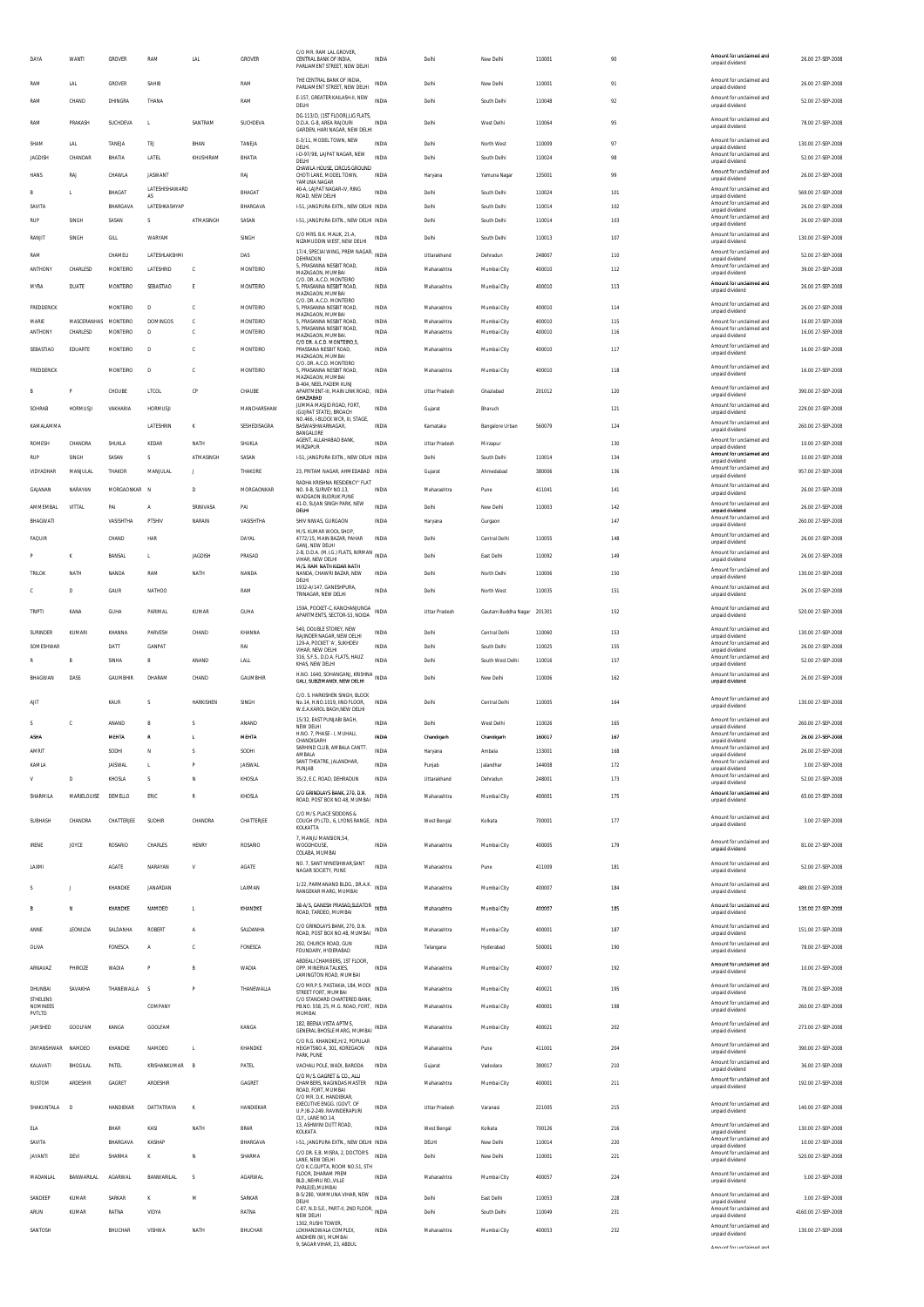| DAYA                               | WANTI                   | <b>GROVER</b>        | RAM                  | LAI                 | GROVER                | C/O MR RAM LAL GROVER<br>CENTRAL BANK OF INDIA.<br>PARLIAMENT STREET, NEW DELHI                      | <b>INDIA</b>                 | Delhi                      | New Delhi                  | 110001           | 90         | Amount for unclaimed and<br>unpaid dividend                             | 26.00 27-SEP-2008                       |
|------------------------------------|-------------------------|----------------------|----------------------|---------------------|-----------------------|------------------------------------------------------------------------------------------------------|------------------------------|----------------------------|----------------------------|------------------|------------|-------------------------------------------------------------------------|-----------------------------------------|
| RAM                                | LAL                     | GROVER               | SAHIB                |                     | RAM                   | THE CENTRAL BANK OF INDIA.<br>PARLIAMENT STREET, NEW DELHI                                           | <b>INDIA</b>                 | Delhi                      | New Delhi                  | 110001           | 91         | Amount for unclaimed and<br>unpaid dividend                             | 26.00 27-SEP-2008                       |
| RAM                                | CHAND                   | DHINGRA              | THANA                |                     | RAM                   | E-157, GREATER KAILASH-II, NEW<br>DELHI<br>DG-113/D, (1ST FLOOR), LIG FLATS,                         | INDIA                        | Delhi                      | South Delhi                | 110048           | 92         | Amount for unclaimed and<br>unpaid dividend                             | 52.00 27-SEP-2008                       |
| RAM                                | PRAKASH                 | SUCHDEVA             | L                    | SANTRAM             | SUCHDEVA              | D.D.A. G-8, AREA RAJOURI<br>GARDEN, HARI NAGAR, NEW DELHI<br>E-3/11, MODEL TOWN, NEW                 | <b>INDIA</b>                 | Delhi                      | West Delhi                 | 110064           | 95         | Amount for unclaimed and<br>unpaid dividend<br>Amount for unclaimed and | 78.00 27-SEP-2008                       |
| SHAM<br><b>JAGDISH</b>             | LAL<br>CHANDAR          | TANEJA<br>BHATIA     | TEJ<br>LATEL         | BHAN<br>KHUSHIRAM   | TANEJA<br>BHATIA      | DELHI.<br>I-D-97/98, LAJPAT NAGAR, NEW<br>DELHI                                                      | INDIA<br>INDIA               | Delhi<br>Delhi             | North West<br>South Delhi  | 110009<br>110024 | 97<br>98   | unpaid dividend<br>Amount for unclaimed and<br>unpaid dividend          | 130.00 27-SEP-2008<br>52.00 27-SEP-2008 |
| HANS                               | RAJ                     | CHAWLA               | JASWANT              |                     | RAJ                   | CHAWLA HOUSE, CIRCUS GROUND<br>CHOTI LANE, MODEL TOWN,<br>YAMUNA NAGAR                               | <b>INDIA</b>                 | Haryana                    | Yamuna Nagar               | 135001           | 99         | Amount for unclaimed and<br>unpaid dividend                             | 26.00 27-SEP-2008                       |
| R                                  | л.                      | BHAGAT               | LATESHISHAWARD<br>AS |                     | BHAGAT                | 40-A, LAJPAT NAGAR-IV, RING<br>ROAD, NEW DELHI                                                       | INDIA                        | Delhi                      | South Delhi                | 110024           | 101        | Amount for unclaimed and<br>unpaid dividend                             | 569.00 27-SEP-2008                      |
| SAVITA<br><b>RUP</b>               | SINGH                   | BHARGAVA<br>SASAN    | LATESHKASHYAP<br>s   | ATMASINGH           | BHARGAVA<br>SASAN     | I-51, JANGPURA EXTN., NEW DELHI INDIA<br>I-51, JANGPURA EXTN., NEW DELHI INDIA                       |                              | Delhi<br>Delhi             | South Delhi<br>South Delhi | 110014<br>110014 | 102<br>103 | Amount for unclaimed and<br>unpaid dividend<br>Amount for unclaimed and | 26.00 27-SEP-2008<br>26.00 27-SEP-2008  |
| RANJIT                             | SINGH                   | GILL                 | WARYAM               |                     | SINGH                 | C/O MRS. B.K. MALIK, 21-A                                                                            | <b>INDIA</b>                 | Delhi                      | South Delhi                | 110013           | 107        | unpaid dividend<br>Amount for unclaimed and                             | 130.00 27-SEP-2008                      |
| RAM                                |                         | CHAMELI              | LATESHLAKSHML        |                     | DAS                   | NIZAMUDDIN WEST, NEW DELHI<br>17/4, SPECIAI WING, PREM NAGAR, INDIA<br>DEHRADUN                      |                              | Uttarakhand                | Dehradun                   | 248007           | 110        | unpaid dividend<br>Amount for unclaimed and<br>unpaid dividend          | 52.00 27-SEP-2008                       |
| ANTHONY                            | CHARLESD                | MONTEIRO             | LATESHRID            | c                   | MONTEIRO              | 5, PRASANNA NESBIT ROAD,<br>MAZAGAON, MUMBAI                                                         | <b>INDIA</b>                 | Maharashtra                | Mumbai City                | 400010           | 112        | Amount for unclaimed and<br>unpaid dividend                             | 39.00 27-SEP-2008                       |
| MYRA                               | DUATE                   | MONTEIRO             | SEBASTIAO            | E                   | MONTEIRO              | C/O. DR. A.C.D. MONTEIRO<br>5, PRASANNA NESBIT ROAD,<br>MAZAGAON, MUMBAI<br>C/O. DR. A.C.D. MONTEIRO | <b>INDIA</b>                 | Maharashtra                | Mumbai City                | 400010           | 113        | Amount for unclaimed and<br>unpaid dividend                             | 26.00 27-SEP-2008                       |
| FREDDERICK                         |                         | MONTEIRO             | D                    | C                   | MONTEIRO              | 5, PRASANNA NESBIT ROAD,<br>MAZAGAON, MUMBAI                                                         | <b>INDIA</b>                 | Maharashtra                | Mumbai City                | 400010           | 114        | Amount for unclaimed and<br>unpaid dividend                             | 26.00 27-SEP-2008                       |
| MARIE<br>ANTHONY                   | MASCERANHAS<br>CHARLESD | MONTEIRO<br>MONTEIRO | <b>DOMINGOS</b><br>D | c<br>с              | MONTEIRO<br>MONTEIRO  | 5, PRASANNA NESBIT ROAD,<br>5, PRASANNA NESBIT ROAD,<br>MAZAGAON, MUMBAI.                            | <b>INDIA</b><br><b>INDIA</b> | Maharashtra<br>Maharashtra | Mumbai City<br>Mumbai City | 400010<br>400010 | 115<br>116 | Amount for unclaimed and<br>Amount for unclaimed and<br>unpaid dividend | 16.00 27-SEP-2008<br>16.00 27-SEP-2008  |
| SEBASTIAO                          | EDUARTE                 | MONTEIRO             | $\mathsf{D}$         | C                   | MONTEIRO              | C/O DR. A.C.D. MONTEIRO,5,<br>PRASSANA NESBIT ROAD,<br>MAZAGAON, MUMBAI                              | <b>INDIA</b>                 | Maharashtra                | Mumbai City                | 400010           | 117        | Amount for unclaimed and<br>unpaid dividend                             | 16.00 27-SEP-2008                       |
| FREDDERICK                         |                         | MONTEIRO             | $\mathsf{D}$         | c                   | MONTEIRO              | C/O. DR. A.C.D. MONTEIRO<br>5, PRASANNA NESBIT ROAD,<br>MAZAGAON. MUMBAI                             | <b>INDIA</b>                 | Maharashtra                | Mumbai City                | 400010           | 118        | Amount for unclaimed and<br>unpaid dividend                             | 16.00 27-SEP-2008                       |
|                                    |                         | CHOUBE               | LTCOL                | CP                  | CHAUBE                | B-404, NEEL PADEM KUNJ<br>APARTMENT-III, MAIN LINK ROAD, INDIA<br><b>GHAZIABAD</b>                   |                              | Uttar Pradesh              | Ghaziabad                  | 201012           | 120        | Amount for unclaimed and<br>unpaid dividend                             | 390.00 27-SEP-2008                      |
| SOHRAB                             | <b>HORMUSJI</b>         | VAKHARIA             | <b>HORMUSIL</b>      |                     | MANCHARSHAW           | JUMMA MASJID ROAD, FORT,<br>(GUJRAT STATE), BROACH                                                   | INDIA                        | Gujarat                    | Bharuch                    |                  | 121        | Amount for unclaimed and<br>unpaid dividend                             | 229.00 27-SEP-2008                      |
| KAMALAMMA                          |                         |                      | LATESHRIN            | ĸ                   | SESHEDISAGRA          | NO.466, I-BLOCK WCR, III, STAGE<br>BASWASHWARNAGAR,<br>BANGALORE                                     | <b>INDIA</b>                 | Karnataka                  | Bangalore Urban            | 560079           | 124        | Amount for unclaimed and<br>unpaid dividend                             | 260.00 27-SEP-2008                      |
| <b>ROMESH</b>                      | <b>CHANDRA</b>          | SHUKLA               | KEDAR                | NATH                | SHUKLA                | AGENT ALLAHARAD RANK<br><b>MIRZAPUR</b>                                                              | INDIA                        | Uttar Pradesh              | Mirzapur                   |                  | 130        | Amount for unclaimed and<br>unpaid dividend                             | 10.00 27-SEP-2008                       |
| <b>RUP</b>                         | SINGH                   | SASAN                | s                    | ATMASINGH           | SASAN                 | I-51, JANGPURA EXTN., NEW DELHI INDIA                                                                |                              | Delhi                      | South Delhi                | 110014           | 134        | Amount for unclaimed and<br>unpaid dividend<br>Amount for unclaimed and | 10.00 27-SEP-2008                       |
| VIDYADHAR<br>GAJANAN               | MANJULAL<br>NARAYAN     | THAKOR<br>MORGAONKAR | MANJULAL<br><b>N</b> | -11<br>$\mathbf{D}$ | THAKORE<br>MORGAONKAR | 23, PRITAM NAGAR, AHMEDABAD INDIA<br>RADHA KRISHNA RESIDENCY" FLAT                                   |                              | Gujarat                    | Ahmedahad                  | 380006<br>411041 | 136        | unpaid dividend<br>Amount for unclaimed and                             | 957.00 27-SEP-2008<br>26.00 27-SEP-2008 |
| AMMEMBAL                           | VITTAL                  | PAI                  | A                    | SRINIVASA           | PAI                   | NO. 9-B. SURVEY NO.13.<br>WADGAON BUDRUK PUNE<br>41-D. SUJAN SINGH PARK. NEW                         | INDIA<br><b>INDIA</b>        | Maharashtra<br>Delhi       | Pune<br>New Delhi          | 110003           | 141<br>142 | unpaid dividend<br>Amount for unclaimed and                             | 26.00 27-SEP-2008                       |
| BHAGWATI                           |                         | VASISHTHA            | PTSHIV               | NARAIN              | VASISHTHA             | DELHI<br>SHIV NIWAS, GURGAON                                                                         | INDIA                        | Haryana                    | Gurgaon                    |                  | 147        | unpaid dividend<br>Amount for unclaimed and<br>unpaid dividend          | 260.00 27-SEP-2008                      |
| FAQUIR                             |                         | CHAND                | HAR                  |                     | DAYAL                 | M/S. KUMAR WOOL SHOP.<br>4772/15, MAIN BAZAR, PAHAR                                                  | INDIA                        | Delhi                      | Central Delhi              | 110055           | 148        | Amount for unclaimed and<br>unpaid dividend                             | 26.00 27-SEP-2008                       |
|                                    | ĸ                       | BANSAL               | L                    | <b>JAGDISH</b>      | PRASAD                | GANJ. NEW DELHI<br>2-B, D.D.A. (M.I.G.) FLATS, NIRMAN INDIA<br>VIHAR. NEW DELHI                      |                              | Delhi                      | East Delhi                 | 110092           | 149        | Amount for unclaimed and<br>unpaid dividend                             | 26.00 27-SEP-2008                       |
| <b>TRILOK</b>                      | NATH                    | NANDA                | RAM                  | NATH                | NANDA                 | M/S. RAM NATH KIDAR NATH<br>NANDA, CHAWRI BAZAR, NEW<br>DELHI                                        | <b>INDIA</b>                 | Delhi                      | North Delhi                | 110006           | 150        | Amount for unclaimed and<br>unpaid dividend                             | 130.00 27-SEP-2008                      |
|                                    | $\mathsf D$             | GAUR                 | NATHOO               |                     | RAM                   | 1932-A/147, GANESHPURA,<br>TRINAGAR. NEW DELHI                                                       | INDIA                        | Delhi                      | North West                 | 110035           | 151        | Amount for unclaimed and<br>unpaid dividend                             | 26.00 27-SEP-2008                       |
| TRIPTI                             | KANA                    | GUHA                 | PARIMAL              | KUMAR               | GUHA                  | 159A. POCKET-C. KANCHANJUNGA<br>APARTMENTS, SECTOR-53, NOIDA                                         | INDIA                        | Uttar Pradesh              | Gautam Buddha Nagar        | 201301           | 152        | Amount for unclaimed and<br>unpaid dividend                             | 520.00 27-SEP-2008                      |
| SURINDER                           | KUMARI                  | KHANNA               | PARVESH              | CHAND               | KHANNA                | 540. DOUBLE STOREY. NEW<br>RAJINDER NAGAR. NEW DELHI                                                 | INDIA                        | Delhi                      | Central Delhi              | 110060           | 153        | Amount for unclaimed and<br>unpaid dividend                             | 130.00 27-SEP-2008                      |
| SOMESHWAR                          |                         | DATT                 |                      |                     | RAI                   | 129-A, POCKET 'A', SUKHDEV                                                                           | INDIA                        | Delhi                      | South Delhi                |                  |            | Amount for unclaimed and                                                | 26.00 27-SEP-2008                       |
|                                    |                         |                      | GANPAT               |                     |                       | VIHAR NEW DELHI<br>316. S.F.S., D.D.A. FLATS, HAUZ                                                   |                              |                            |                            | 110025           | 155        | unpaid dividend<br>Amount for unclaimed and                             |                                         |
|                                    | B                       | SINHA                |                      | ANAND               | LALL                  | KHAS, NEW DELHI                                                                                      | <b>INDIA</b>                 | Delhi                      | South West Delhi           | 110016           | 157        | unpaid dividend<br>Amount for unclaimed and                             | 52.00 27-SEP-2008                       |
| BHAGWAN                            | DASS                    | GAUMBHIR             | DHARAM               | CHAND               | GAUMBHIR              | H.NO. 1640, SOHANGANJ, KRISHNA<br>GALI, SUBZIMANDI, NEW DELHI                                        |                              | Delhi                      | New Delhi                  | 110006           | 162        | unpaid dividend                                                         | 26.00 27-SEP-2008                       |
| AJIT                               |                         | KAUR                 | S                    | HARKISHEN           | SINGH                 | C/O. S. HARKISHEN SINGH, BLOCK<br>No.14. H.NO.1019. IIND FLOOR.<br>W.E.A.KAROL BAGH, NEW DELHI       | INDIA                        | Delhi                      | Central Delhi              | 110005           | 164        | Amount for unclaimed and<br>unpaid dividend                             | 130.00 27-SEP-2008                      |
| S<br><b>ASHA</b>                   | C                       | ANAND                | В                    |                     | ANAND                 | 15/32. EAST PUNJABI BAGH.<br>NEW DELHI<br>H.NO. 7. PHASE - I. MUHALI.                                | INDIA<br>INDIA               | Delhi<br>Chandigarh        | West Delhi<br>Chandigart   | 110026           | 165<br>167 | Amount for unclaimed and<br>unnaid dividend<br>Amount for unclaimed and | 260.00 27-SEP-2008                      |
| <b>AMRIT</b>                       |                         | MEHTA<br>SODHI       | N                    | s                   | MEHTA<br>SODHI        | CHANDI<br>SARHIND CLUB, AMBALA CANTT<br>AMBALA                                                       | INDIA                        | Haryana                    | Ambala                     | 160017<br>133001 | 168        | unnaid dividend<br>Amount for unclaimed and<br>unpaid dividend          | 26.00 27-SEP-2008<br>26.00 27-SEP-2008  |
| KAMLA                              |                         | JAISWAL              | L                    | P                   | <b>JAISWAL</b>        | SANT THEATRE, JALANDHAR,<br>PUNJAB                                                                   | INDIA                        | Punjab                     | Jalandhar                  | 144008           | 172        | Amount for unclaimed and<br>unpaid dividend                             | 3.00 27-SEP-2008                        |
| v                                  | D                       | KHOSLA               | S                    | N                   | KHOSLA                | 35/2, E.C. ROAD, DEHRADUN                                                                            | INDIA                        | Uttarakhand                | Dehradun                   | 248001           | 173        | Amount for unclaimed and<br>unpaid dividend<br>Amount for unclaimed and | 52.00 27-SEP-2008                       |
| SHARMILA                           | MARIELOUISE             | DEMELLO              | ERIC                 | $\mathbb{R}$        | KHOSLA                | C/O GRINDLAYS BANK, 270, D.N.<br>ROAD. POST BOX NO.48. MUMBAI                                        | INDIA                        | Maharashtra                | Mumbai City                | 400001           | 175        | unpaid dividend                                                         | 65.00 27-SEP-2008                       |
| SUBHASH                            | CHANDRA                 | CHATTERJEE           | SUDHIR               | CHANDRA             | CHATTERJEE            | C/O M/S. PLACE SIDDONS &<br>COUGH (P) LTD., 6, LYONS RANGE, INDIA<br>KOLKATTA                        |                              | West Bengal                | Kolkata                    | 700001           | 177        | Amount for unclaimed and<br>unpaid dividend                             | 3.00 27-SEP-2008                        |
| <b>IRENE</b>                       | <b>JOYCE</b>            | ROSARIO              | CHARLES              | HENRY               | ROSARIO               | 7, MANJU MANSION, 54,<br><b>WOODHOUSE</b><br>COLABA, MUMBAI                                          | <b>INDIA</b>                 | Maharashtra                | Mumbai City                | 400005           | 179        | Amount for unclaimed and<br>unpaid dividend                             | 81.00 27-SEP-2008                       |
| LAXMI                              |                         | AGATE                | NARAYAN              | V                   | AGATE                 | NO. 7, SANT NYNESHWAR, SANT<br>NAGAR SOCIETY, PUNE                                                   | INDIA                        | Maharashtra                | Pune                       | 411009           | 181        | Amount for unclaimed and<br>unpaid dividend                             | 52.00 27-SEP-2008                       |
| s                                  |                         | KHANDKE              | JANARDAN             |                     | LAXMAN                | 1/22, PARMANAND BLDG., DR.A.K. INDIA<br>RANGEKAR MARG, MUMBAI                                        |                              | Maharashtra                | Mumbai City                | 400007           | 184        | Amount for unclaimed and<br>unpaid dividend                             | 489.00 27-SEP-2008                      |
| в                                  | <b>N</b>                | KHANDKE              | NAMDEO               | L.                  | KHANDKE               | 38-A/5, GANESH PRASAD, SLEATOR INDIA<br>ROAD, TARDEO, MUMBA                                          |                              | Maharashtra                | Mumbal City                | 400007           | 185        | Amount for unclaimed and<br>unpaid dividend                             | 130.00 27-SEP-2008                      |
| ANNE                               | LEONILDA                | SALDANHA             | <b>ROBERT</b>        | $\mathsf{A}$        | SALDANHA              | C/O GRINDLAYS BANK, 270, D.N.                                                                        | <b>INDIA</b>                 | Maharashtra                | Mumbai City                | 400001           | 187        | Amount for unclaimed and                                                | 151.00 27-SEP-2008                      |
| OLIVA                              |                         | FONESCA              | Α                    | c                   | FONESCA               | ROAD. POST BOX NO.48. MUMBAI<br>292. CHURCH ROAD. GUN                                                | INDIA                        | Telangana                  | Hyderabad                  | 500001           | 190        | unpaid dividend<br>Amount for unclaimed and                             | 78.00 27-SEP-2008                       |
| ARNAVAZ                            | PHIROZE                 | WADIA                | P                    | B                   | WADIA                 | FOUNDARY, HYDERABAD<br>ABDEALI CHAMBERS, 1ST FLOOR,<br>OPP. MINERVA TALKIES,                         | <b>INDIA</b>                 | Maharashtra                | Mumbai City                | 400007           | 192        | unpaid dividend<br>Amount for unclaimed and<br>unpaid dividend          | 10.00 27-SEP-2008                       |
| DHUNBAI                            | SAVAKHA                 | THANEWALLA           | -S                   | P                   | THANEWALLA            | LAMINGTON ROAD, MUMBA<br>C/O MR.P.S. PASTAKIA, 184, MODI INDIA<br>STREET FORT. MUMBAL                |                              | Maharashtra                | Mumbai City                | 400021           | 195        | Amount for unclaimed and                                                | 78.00 27-SEP-2008                       |
| <b>STHELENS</b><br><b>NOMINEES</b> |                         |                      | COMPANY              |                     |                       | C/O STANDARD CHARTERED BANK<br>PB.NO. 558, 25, M.G. ROAD, FORT, INDIA                                |                              | Maharashtra                | Mumbai City                | 400001           | 198        | unpaid dividend<br>Amount for unclaimed and                             | 260.00 27-SEP-2008                      |
| PVTLTD<br>JAMSHED                  | GOOLFAM                 | KANGA                | GOOLFAM              |                     | KANGA                 | MUMBAI<br>182, BEENA VISTA APTMS,                                                                    |                              | Maharashtra                | Mumbai City                | 400021           | 202        | unpaid dividend<br>Amount for unclaimed and                             | 273.00 27-SEP-2008                      |
| DNYANSHWAR                         | NAMDEO                  | KHANDKE              | NAMDEO               | L.                  | KHANDKE               | GENERAL BHOSLE MARG, MUMBAI INDIA<br>C/O R.G. KHANDKE.H/2. POPULAR<br>HEIGHTSNO.4, 301, KOREGAON     | INDIA                        | Maharashtra                | Pune                       | 411001           | 204        | unpaid dividend<br>Amount for unclaimed and                             | 390.00 27-SEP-2008                      |
| KALAVATI                           | BHOGILAL                | PATEL                | KRISHANKUMAR         | $\overline{B}$      | PATEL                 | PARK, PUNE<br>VACHALI POLE, WADI, BARODA                                                             | INDIA                        | Gujarat                    | Vadodara                   | 390017           | 210        | unpaid dividend<br>Amount for unclaimed and                             | 36.00 27-SEP-2008                       |
| <b>RUSTOM</b>                      | ARDESHIR                | <b>GAGRET</b>        | ARDESHIR             |                     | GAGRET                | C/O M/S. GAGRET & CO., ALLI<br>CHAMBERS. NAGINDAS MASTER                                             | INDIA                        | Maharashtra                | Mumbai City                | 400001           | 211        | unpaid dividend<br>Amount for unclaimed and                             | 192.00 27-SEP-2008                      |
|                                    | D                       |                      |                      | $\mathbf{K}$        |                       | ROAD. FORT. MUMBAI<br>C/O MR. D.K. HANDIEKAR<br>EXECUTIVE ENGG. (GOVT. OF                            | INDIA                        | Uttar Pradesh              | Varanas                    |                  |            | unpaid dividend<br>Amount for unclaimed and                             |                                         |
| SHAKUNTALA                         |                         | HANDIEKAR            | DATTATRAYA           |                     | HANDIEKAR             | U.P.)B-2-249. RAVINDERAPURI<br>CLY., LANE NO.14.<br>13, ASHWINI DUTT ROAD                            |                              |                            |                            | 221005           | 215        | unpaid dividend<br>Amount for unclaimed and                             | 140.00 27-SEP-2008                      |
| ELA<br>SAVITA                      |                         | BHAR<br>BHARGAVA     | KASI<br>KASHAP       | NATH                | BRAR<br>BHARGAVA      | KOLKATA<br>1-51, JANGPURA EXTN., NEW DELHI INDIA                                                     | INDIA                        | West Bengal<br>DELHI       | Kolkata<br>New Delhi       | 700126<br>110014 | 216<br>220 | unpaid dividend<br>Amount for unclaimed and                             | 130.00 27-SEP-2008<br>10.00 27-SEP-2008 |
| <b>JAYANTI</b>                     | DEVI                    | SHARMA               | к                    | N                   | SHARMA                | C/O DR. E.B. MISRA, 2, DOCTOR'S<br>LANE. NEW DELHI                                                   | <b>INDIA</b>                 | Delhi                      | New Delhi                  | 110001           | 221        | unpaid dividend<br>Amount for unclaimed and<br>unpaid dividend          | 520.00 27-SEP-2008                      |
| MADANLAL                           | BANWARILAL              | <b>AGARWAL</b>       | BANWARILAL           | s                   | AGARWAL               | C/O K.C.GUPTA. ROOM NO.51. 5TH<br>FLOOR. DHARAM PREM<br>BLDNEHRU RDVILLE                             | INDIA                        | Maharashtra                | Mumbai City                | 400057           | 224        | Amount for unclaimed and<br>unpaid dividend                             | 5.00 27-SEP-2008                        |
| SANDEEP                            | KUMAF                   | SARKAR               | к                    | M                   | SARKAR                | PARLE(E), MUMBAI<br>B-5/280, YAMMUNA VIHAR, NEW<br>DELHI                                             | <b>INDIA</b>                 | Delhi                      | East Delhi                 | 110053           | 228        | Amount for unclaimed and<br>unpaid dividend                             | 3.00 27-SEP-2008                        |
| ARUN                               | KUMAR                   | RATNA                | VIDYA                |                     | RATNA                 | C-87, N.D.S.E., PART-II, 2ND FLOOR. INDIA<br>NEW DELHI                                               |                              | Delhi                      | South Delhi                | 110049           | 231        | Amount for unclaimed and<br>unpaid dividend                             | 4160.00 27-SEP-2008                     |
| SANTOSH                            |                         | BHUCHAR              | VISHWA               | NATH                | BHUCHAR               | 1302. RUSHI TOWER.<br>LOKHANDWALA COMPLEX.<br>ANDHERI (W). MUMBAI<br>9, SAGAR VIHAR, 23, ABDUL       | <b>INDIA</b>                 | Maharashtra                | Mumbai City                | 400053           | 232        | Amount for unclaimed and<br>unpaid dividend<br>Amount for unclaimed and | 130.00 27-SEP-2008                      |